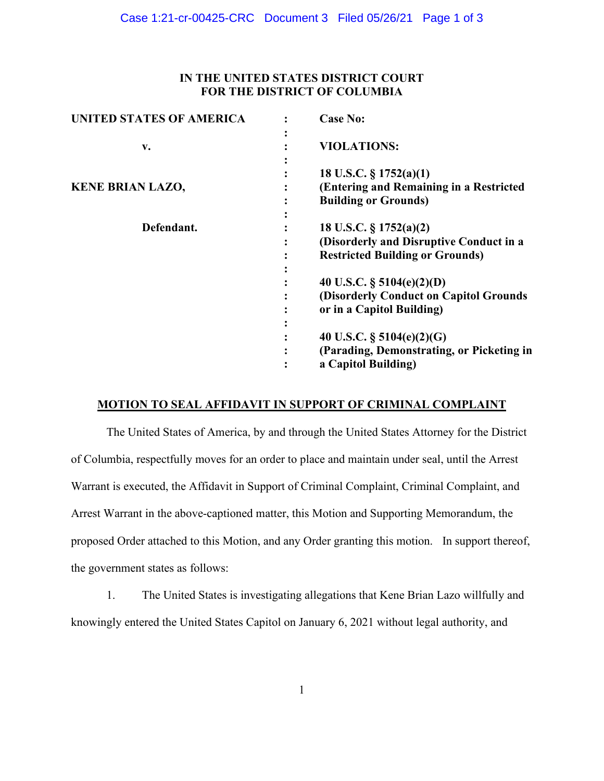# **IN THE UNITED STATES DISTRICT COURT FOR THE DISTRICT OF COLUMBIA**

| <b>UNITED STATES OF AMERICA</b> | <b>Case No:</b>                                                                                             |
|---------------------------------|-------------------------------------------------------------------------------------------------------------|
| v.                              | <b>VIOLATIONS:</b>                                                                                          |
| <b>KENE BRIAN LAZO,</b>         | 18 U.S.C. $\S 1752(a)(1)$<br>(Entering and Remaining in a Restricted<br><b>Building or Grounds)</b>         |
| Defendant.                      | 18 U.S.C. § 1752(a)(2)<br>(Disorderly and Disruptive Conduct in a<br><b>Restricted Building or Grounds)</b> |
|                                 | 40 U.S.C. $\S$ 5104(e)(2)(D)<br>(Disorderly Conduct on Capitol Grounds<br>or in a Capitol Building)         |
|                                 | 40 U.S.C. $\S$ 5104(e)(2)(G)<br>(Parading, Demonstrating, or Picketing in<br>a Capitol Building)            |

## **MOTION TO SEAL AFFIDAVIT IN SUPPORT OF CRIMINAL COMPLAINT**

The United States of America, by and through the United States Attorney for the District of Columbia, respectfully moves for an order to place and maintain under seal, until the Arrest Warrant is executed, the Affidavit in Support of Criminal Complaint, Criminal Complaint, and Arrest Warrant in the above-captioned matter, this Motion and Supporting Memorandum, the proposed Order attached to this Motion, and any Order granting this motion. In support thereof, the government states as follows:

1. The United States is investigating allegations that Kene Brian Lazo willfully and knowingly entered the United States Capitol on January 6, 2021 without legal authority, and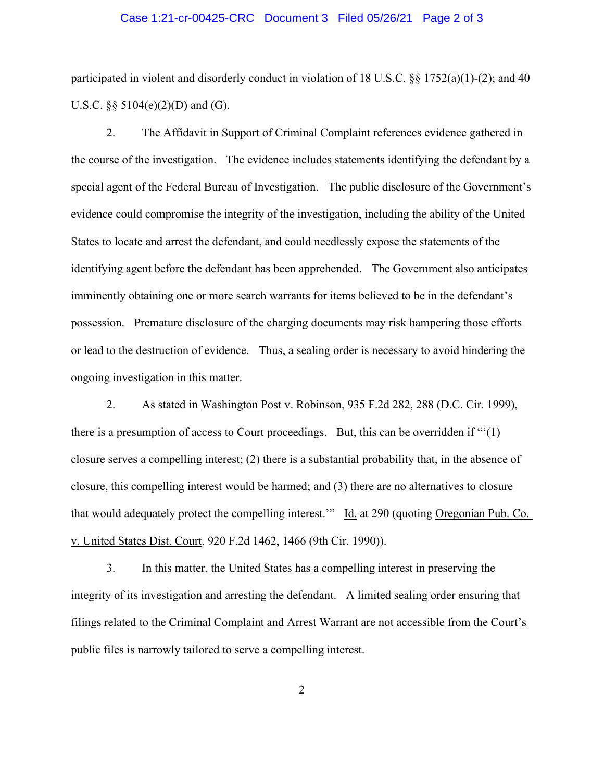#### Case 1:21-cr-00425-CRC Document 3 Filed 05/26/21 Page 2 of 3

participated in violent and disorderly conduct in violation of 18 U.S.C. §§ 1752(a)(1)-(2); and 40 U.S.C. §§ 5104(e)(2)(D) and (G).

2. The Affidavit in Support of Criminal Complaint references evidence gathered in the course of the investigation. The evidence includes statements identifying the defendant by a special agent of the Federal Bureau of Investigation. The public disclosure of the Government's evidence could compromise the integrity of the investigation, including the ability of the United States to locate and arrest the defendant, and could needlessly expose the statements of the identifying agent before the defendant has been apprehended. The Government also anticipates imminently obtaining one or more search warrants for items believed to be in the defendant's possession. Premature disclosure of the charging documents may risk hampering those efforts or lead to the destruction of evidence. Thus, a sealing order is necessary to avoid hindering the ongoing investigation in this matter.

2. As stated in Washington Post v. Robinson, 935 F.2d 282, 288 (D.C. Cir. 1999), there is a presumption of access to Court proceedings. But, this can be overridden if "'(1) closure serves a compelling interest; (2) there is a substantial probability that, in the absence of closure, this compelling interest would be harmed; and (3) there are no alternatives to closure that would adequately protect the compelling interest." Id. at 290 (quoting Oregonian Pub. Co. v. United States Dist. Court, 920 F.2d 1462, 1466 (9th Cir. 1990)).

3. In this matter, the United States has a compelling interest in preserving the integrity of its investigation and arresting the defendant. A limited sealing order ensuring that filings related to the Criminal Complaint and Arrest Warrant are not accessible from the Court's public files is narrowly tailored to serve a compelling interest.

2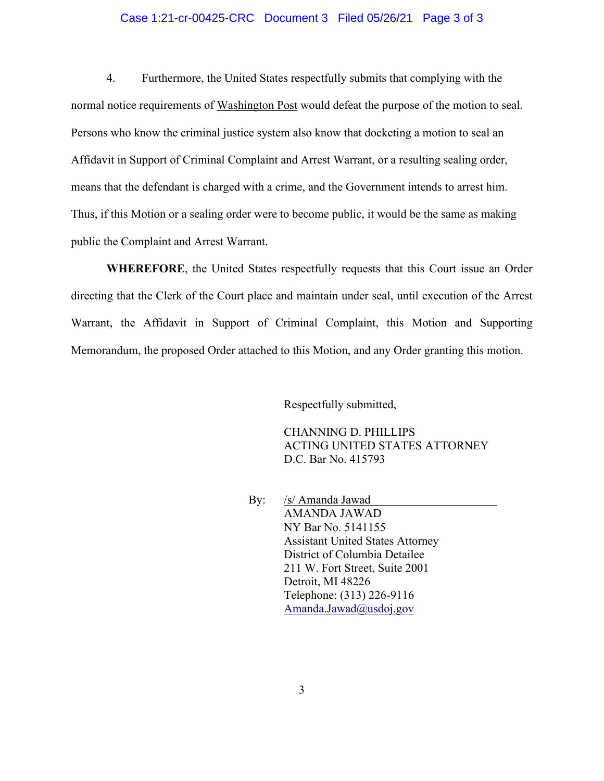### Case 1:21-cr-00425-CRC Document 3 Filed 05/26/21 Page 3 of 3

4. Furthermore, the United States respectfully submits that complying with the normal notice requirements of Washington Post would defeat the purpose of the motion to seal. Persons who know the criminal justice system also know that docketing a motion to seal an Affidavit in Support of Criminal Complaint and Arrest Warrant, or a resulting sealing order, means that the defendant is charged with a crime, and the Government intends to arrest him. Thus, if this Motion or a sealing order were to become public, it would be the same as making public the Complaint and Arrest Warrant.

**WHEREFORE**, the United States respectfully requests that this Court issue an Order directing that the Clerk of the Court place and maintain under seal, until execution of the Arrest Warrant, the Affidavit in Support of Criminal Complaint, this Motion and Supporting Memorandum, the proposed Order attached to this Motion, and any Order granting this motion.

Respectfully submitted,

CHANNING D. PHILLIPS ACTING UNITED STATES ATTORNEY D.C. Bar No. 415793

By: /s/ Amanda Jawad AMANDA JAWAD NY Bar No. 5141155 Assistant United States Attorney District of Columbia Detailee 211 W. Fort Street, Suite 2001 Detroit, MI 48226 Telephone: (313) 226-9116 Amanda.Jawad@usdoj.gov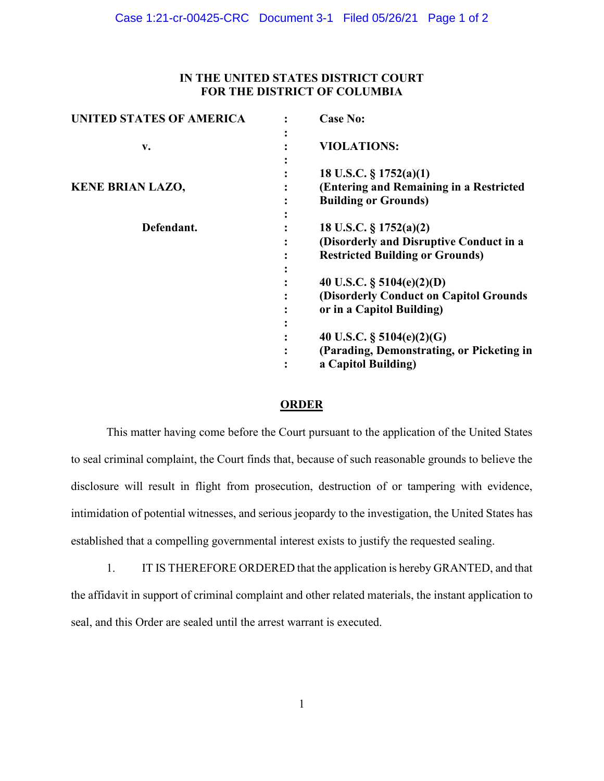# **IN THE UNITED STATES DISTRICT COURT FOR THE DISTRICT OF COLUMBIA**

| <b>UNITED STATES OF AMERICA</b> | <b>Case No:</b>                                                                                             |
|---------------------------------|-------------------------------------------------------------------------------------------------------------|
| v.                              | <b>VIOLATIONS:</b>                                                                                          |
| <b>KENE BRIAN LAZO,</b>         | 18 U.S.C. $\S 1752(a)(1)$<br>(Entering and Remaining in a Restricted<br><b>Building or Grounds)</b>         |
| Defendant.                      | 18 U.S.C. § 1752(a)(2)<br>(Disorderly and Disruptive Conduct in a<br><b>Restricted Building or Grounds)</b> |
|                                 | 40 U.S.C. $\S$ 5104(e)(2)(D)<br>(Disorderly Conduct on Capitol Grounds<br>or in a Capitol Building)         |
|                                 | 40 U.S.C. $\S$ 5104(e)(2)(G)<br>(Parading, Demonstrating, or Picketing in<br>a Capitol Building)            |

## **ORDER**

This matter having come before the Court pursuant to the application of the United States to seal criminal complaint, the Court finds that, because of such reasonable grounds to believe the disclosure will result in flight from prosecution, destruction of or tampering with evidence, intimidation of potential witnesses, and serious jeopardy to the investigation, the United States has established that a compelling governmental interest exists to justify the requested sealing.

1. IT IS THEREFORE ORDERED that the application is hereby GRANTED, and that the affidavit in support of criminal complaint and other related materials, the instant application to seal, and this Order are sealed until the arrest warrant is executed.